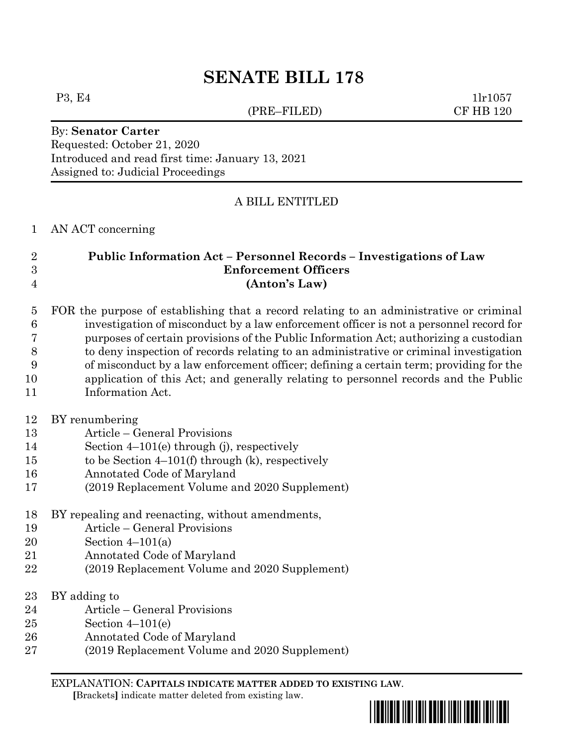# **SENATE BILL 178**

(PRE–FILED) CF HB 120

P3, E4 1lr1057

#### By: **Senator Carter** Requested: October 21, 2020 Introduced and read first time: January 13, 2021 Assigned to: Judicial Proceedings

## A BILL ENTITLED

#### AN ACT concerning

#### **Public Information Act – Personnel Records – Investigations of Law Enforcement Officers (Anton's Law)**

#### FOR the purpose of establishing that a record relating to an administrative or criminal investigation of misconduct by a law enforcement officer is not a personnel record for purposes of certain provisions of the Public Information Act; authorizing a custodian to deny inspection of records relating to an administrative or criminal investigation of misconduct by a law enforcement officer; defining a certain term; providing for the application of this Act; and generally relating to personnel records and the Public

Information Act.

#### BY renumbering

- Article General Provisions
- Section 4–101(e) through (j), respectively
- to be Section 4–101(f) through (k), respectively
- Annotated Code of Maryland
- (2019 Replacement Volume and 2020 Supplement)
- BY repealing and reenacting, without amendments,
- Article General Provisions
- Section 4–101(a)
- Annotated Code of Maryland
- (2019 Replacement Volume and 2020 Supplement)
- BY adding to
- Article General Provisions
- Section 4–101(e)
- Annotated Code of Maryland
- (2019 Replacement Volume and 2020 Supplement)

EXPLANATION: **CAPITALS INDICATE MATTER ADDED TO EXISTING LAW**.

 **[**Brackets**]** indicate matter deleted from existing law.

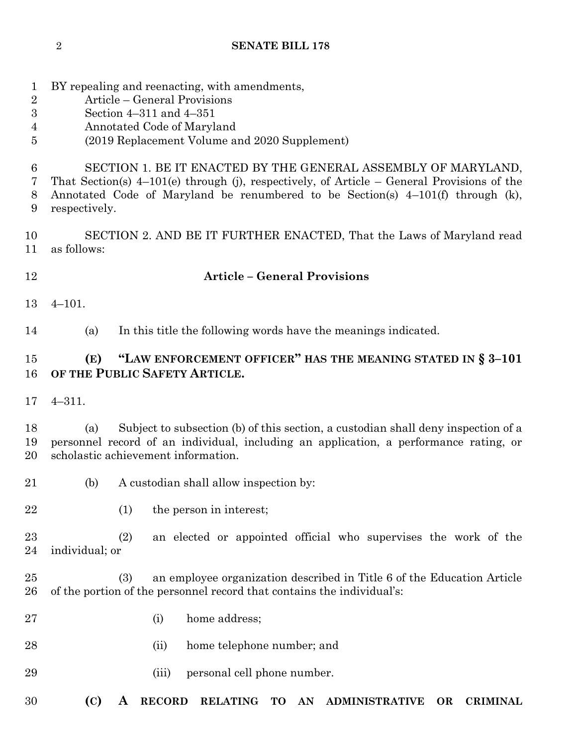- BY repealing and reenacting, with amendments,
- Article General Provisions
- Section 4–311 and 4–351
- Annotated Code of Maryland
- (2019 Replacement Volume and 2020 Supplement)
- SECTION 1. BE IT ENACTED BY THE GENERAL ASSEMBLY OF MARYLAND,
- That Section(s) 4–101(e) through (j), respectively, of Article General Provisions of the Annotated Code of Maryland be renumbered to be Section(s) 4–101(f) through (k),
- respectively.
- SECTION 2. AND BE IT FURTHER ENACTED, That the Laws of Maryland read as follows:
- **Article – General Provisions**
- 4–101.

(a) In this title the following words have the meanings indicated.

# **(E) "LAW ENFORCEMENT OFFICER" HAS THE MEANING STATED IN § 3–101 OF THE PUBLIC SAFETY ARTICLE.**

4–311.

 (a) Subject to subsection (b) of this section, a custodian shall deny inspection of a personnel record of an individual, including an application, a performance rating, or scholastic achievement information.

- (b) A custodian shall allow inspection by:
- (1) the person in interest;

 (2) an elected or appointed official who supervises the work of the individual; or

- (3) an employee organization described in Title 6 of the Education Article of the portion of the personnel record that contains the individual's:
- (i) home address;
- (ii) home telephone number; and
- (iii) personal cell phone number.
- **(C) A RECORD RELATING TO AN ADMINISTRATIVE OR CRIMINAL**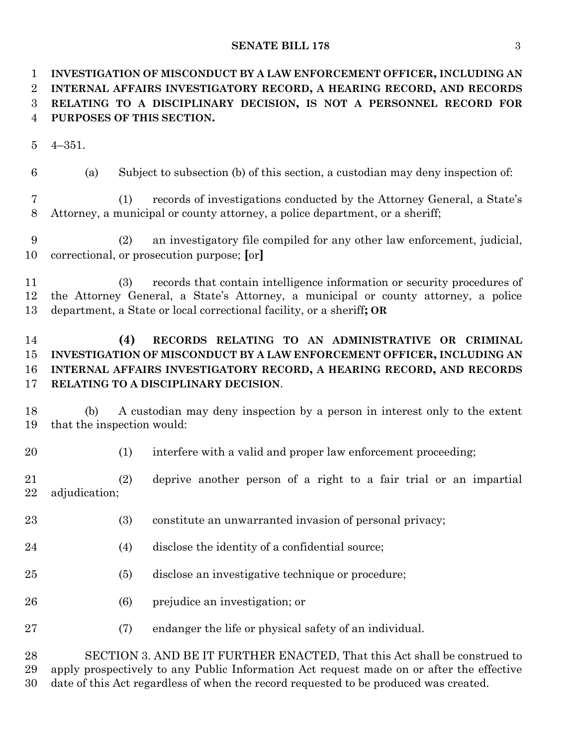#### **SENATE BILL 178** 3

 **INVESTIGATION OF MISCONDUCT BY A LAW ENFORCEMENT OFFICER, INCLUDING AN INTERNAL AFFAIRS INVESTIGATORY RECORD, A HEARING RECORD, AND RECORDS RELATING TO A DISCIPLINARY DECISION, IS NOT A PERSONNEL RECORD FOR PURPOSES OF THIS SECTION.**

4–351.

(a) Subject to subsection (b) of this section, a custodian may deny inspection of:

 (1) records of investigations conducted by the Attorney General, a State's Attorney, a municipal or county attorney, a police department, or a sheriff;

- (2) an investigatory file compiled for any other law enforcement, judicial, correctional, or prosecution purpose; **[**or**]**
- (3) records that contain intelligence information or security procedures of the Attorney General, a State's Attorney, a municipal or county attorney, a police department, a State or local correctional facility, or a sheriff**; OR**

## **(4) RECORDS RELATING TO AN ADMINISTRATIVE OR CRIMINAL INVESTIGATION OF MISCONDUCT BY A LAW ENFORCEMENT OFFICER, INCLUDING AN INTERNAL AFFAIRS INVESTIGATORY RECORD, A HEARING RECORD, AND RECORDS RELATING TO A DISCIPLINARY DECISION**.

- (b) A custodian may deny inspection by a person in interest only to the extent that the inspection would:
- 

(1) interfere with a valid and proper law enforcement proceeding;

 (2) deprive another person of a right to a fair trial or an impartial adjudication;

- (3) constitute an unwarranted invasion of personal privacy;
- (4) disclose the identity of a confidential source;
- (5) disclose an investigative technique or procedure;
- (6) prejudice an investigation; or
- (7) endanger the life or physical safety of an individual.

 SECTION 3. AND BE IT FURTHER ENACTED, That this Act shall be construed to apply prospectively to any Public Information Act request made on or after the effective date of this Act regardless of when the record requested to be produced was created.